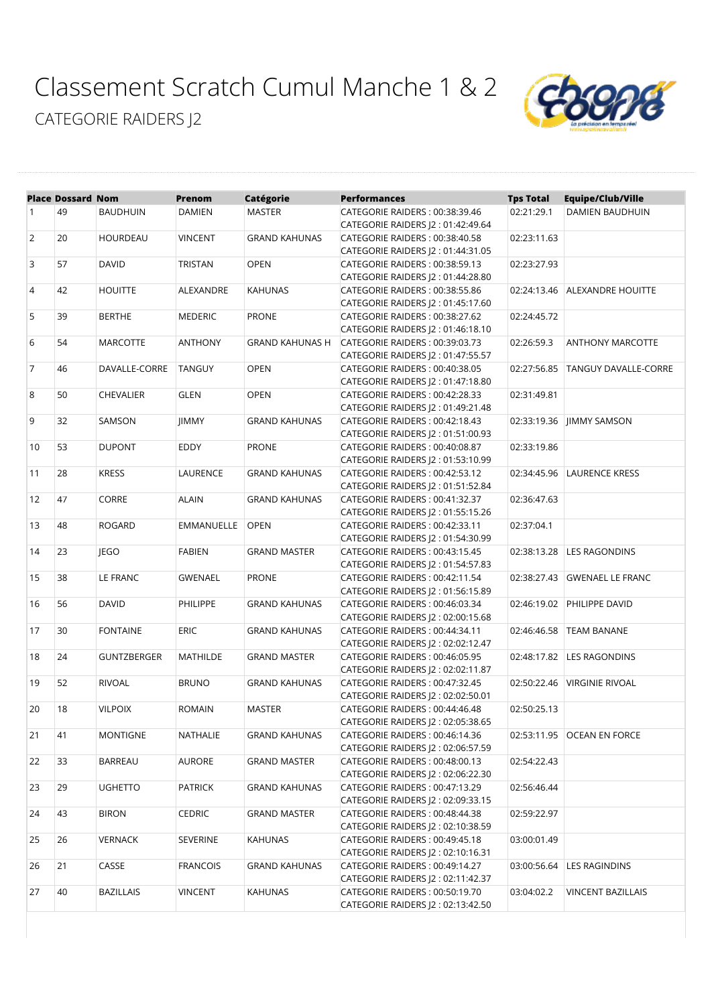[Classement Scratch Cumul Manche 1 & 2](https://www.sportinnovation.fr/suivi_track_t/classement_print.php?crs=5205&categorie=PDT_CF&tag=&nom_equipe=&nb_constituant=®ion=#) [CATEGORIE RAIDERS J2](https://www.sportinnovation.fr/suivi_track_t/classement_print.php?crs=5205&categorie=PDT_CF&tag=&nom_equipe=&nb_constituant=®ion=#)



|                | <b>Place Dossard Nom</b> |                    | Prenom            | <b>Catégorie</b>       | <b>Performances</b>                | <b>Tps Total</b> | <b>Equipe/Club/Ville</b>     |
|----------------|--------------------------|--------------------|-------------------|------------------------|------------------------------------|------------------|------------------------------|
| $\mathbf{1}$   | 49                       | <b>BAUDHUIN</b>    | <b>DAMIEN</b>     | <b>MASTER</b>          | CATEGORIE RAIDERS: 00:38:39.46     | 02:21:29.1       | DAMIEN BAUDHUIN              |
|                |                          |                    |                   |                        | CATEGORIE RAIDERS  2:01:42:49.64   |                  |                              |
| 2              | 20                       | <b>HOURDEAU</b>    | <b>VINCENT</b>    | <b>GRAND KAHUNAS</b>   | CATEGORIE RAIDERS: 00:38:40.58     | 02:23:11.63      |                              |
|                |                          |                    |                   |                        | CATEGORIE RAIDERS  2:01:44:31.05   |                  |                              |
| 3              | 57                       | <b>DAVID</b>       | TRISTAN           | <b>OPEN</b>            | CATEGORIE RAIDERS: 00:38:59.13     | 02:23:27.93      |                              |
|                |                          |                    |                   |                        | CATEGORIE RAIDERS J2: 01:44:28.80  |                  |                              |
| $\overline{4}$ | 42                       | <b>HOUITTE</b>     | ALEXANDRE         | <b>KAHUNAS</b>         | CATEGORIE RAIDERS: 00:38:55.86     | 02:24:13.46      | ALEXANDRE HOUITTE            |
|                |                          |                    |                   |                        | CATEGORIE RAIDERS J2: 01:45:17.60  |                  |                              |
| 5              | 39                       | <b>BERTHE</b>      | <b>MEDERIC</b>    | <b>PRONE</b>           | CATEGORIE RAIDERS: 00:38:27.62     | 02:24:45.72      |                              |
|                |                          |                    |                   |                        | CATEGORIE RAIDERS J2: 01:46:18.10  |                  |                              |
| 6              | 54                       | <b>MARCOTTE</b>    | <b>ANTHONY</b>    | <b>GRAND KAHUNAS H</b> | CATEGORIE RAIDERS: 00:39:03.73     | 02:26:59.3       | <b>ANTHONY MARCOTTE</b>      |
|                |                          |                    |                   |                        | CATEGORIE RAIDERS J2: 01:47:55.57  |                  |                              |
| $\overline{7}$ | 46                       | DAVALLE-CORRE      | <b>TANGUY</b>     | <b>OPEN</b>            | CATEGORIE RAIDERS: 00:40:38.05     | 02:27:56.85      | <b>TANGUY DAVALLE-CORRE</b>  |
|                |                          |                    |                   |                        | CATEGORIE RAIDERS  2:01:47:18.80   |                  |                              |
| 8              | 50                       | <b>CHEVALIER</b>   | <b>GLEN</b>       | <b>OPEN</b>            | CATEGORIE RAIDERS: 00:42:28.33     | 02:31:49.81      |                              |
|                |                          |                    |                   |                        | CATEGORIE RAIDERS  2:01:49:21.48   |                  |                              |
| 9              | 32                       | SAMSON             | <b>JIMMY</b>      | <b>GRAND KAHUNAS</b>   | CATEGORIE RAIDERS: 00:42:18.43     | 02:33:19.36      | JIMMY SAMSON                 |
|                |                          |                    |                   |                        | CATEGORIE RAIDERS J2: 01:51:00.93  |                  |                              |
| 10             | 53                       | <b>DUPONT</b>      | <b>EDDY</b>       | <b>PRONE</b>           | CATEGORIE RAIDERS: 00:40:08.87     | 02:33:19.86      |                              |
|                |                          |                    |                   |                        | CATEGORIE RAIDERS  2:01:53:10.99   |                  |                              |
| 11             | 28                       | <b>KRESS</b>       | <b>LAURENCE</b>   | <b>GRAND KAHUNAS</b>   | CATEGORIE RAIDERS: 00:42:53.12     | 02:34:45.96      | <b>LAURENCE KRESS</b>        |
|                |                          |                    |                   |                        | CATEGORIE RAIDERS J2: 01:51:52.84  |                  |                              |
| 12             | 47                       | CORRE              | <b>ALAIN</b>      | <b>GRAND KAHUNAS</b>   | CATEGORIE RAIDERS: 00:41:32.37     | 02:36:47.63      |                              |
|                |                          |                    |                   |                        | CATEGORIE RAIDERS  2:01:55:15.26   |                  |                              |
| 13             | 48                       | <b>ROGARD</b>      | <b>EMMANUELLE</b> | <b>OPEN</b>            | CATEGORIE RAIDERS: 00:42:33.11     | 02:37:04.1       |                              |
|                |                          |                    |                   |                        | CATEGORIE RAIDERS J2: 01:54:30.99  |                  |                              |
| 14             | 23                       | <b>IEGO</b>        | <b>FABIEN</b>     | <b>GRAND MASTER</b>    | CATEGORIE RAIDERS: 00:43:15.45     | 02:38:13.28      | <b>LES RAGONDINS</b>         |
|                |                          |                    |                   |                        | CATEGORIE RAIDERS J2: 01:54:57.83  |                  |                              |
| 15             | 38                       | LE FRANC           | <b>GWENAEL</b>    | <b>PRONE</b>           | CATEGORIE RAIDERS: 00:42:11.54     | 02:38:27.43      | <b>GWENAEL LE FRANC</b>      |
|                |                          |                    |                   |                        | CATEGORIE RAIDERS J2: 01:56:15.89  |                  |                              |
| 16             | 56                       | <b>DAVID</b>       | PHILIPPE          | <b>GRAND KAHUNAS</b>   | CATEGORIE RAIDERS: 00:46:03.34     | 02:46:19.02      | PHILIPPE DAVID               |
|                |                          |                    |                   |                        | CATEGORIE RAIDERS J2: 02:00:15.68  |                  |                              |
| 17             | 30                       | <b>FONTAINE</b>    | <b>ERIC</b>       | <b>GRAND KAHUNAS</b>   | CATEGORIE RAIDERS: 00:44:34.11     | 02:46:46.58      | <b>TEAM BANANE</b>           |
|                |                          |                    |                   |                        | CATEGORIE RAIDERS J2: 02:02:12.47  |                  |                              |
| 18             | 24                       | <b>GUNTZBERGER</b> | <b>MATHILDE</b>   | <b>GRAND MASTER</b>    | CATEGORIE RAIDERS: 00:46:05.95     | 02:48:17.82      | <b>LES RAGONDINS</b>         |
|                |                          |                    |                   |                        | CATEGORIE RAIDERS J2: 02:02:11.87  |                  |                              |
| 19             | 52                       | <b>RIVOAL</b>      | <b>BRUNO</b>      | <b>GRAND KAHUNAS</b>   | CATEGORIE RAIDERS: 00:47:32.45     | 02:50:22.46      | <b>VIRGINIE RIVOAL</b>       |
|                |                          |                    |                   |                        | CATEGORIE RAIDERS J2:02:02:50.01   |                  |                              |
| 20             | 18                       | <b>VILPOIX</b>     | <b>ROMAIN</b>     | <b>MASTER</b>          | CATEGORIE RAIDERS: 00:44:46.48     | 02:50:25.13      |                              |
|                |                          |                    |                   |                        | CATEGORIE RAIDERS J2 : 02:05:38.65 |                  |                              |
| 21             | 41                       | <b>MONTIGNE</b>    | <b>NATHALIE</b>   | <b>GRAND KAHUNAS</b>   | CATEGORIE RAIDERS: 00:46:14.36     |                  | 02:53:11.95   OCEAN EN FORCE |
|                |                          |                    |                   |                        | CATEGORIE RAIDERS J2:02:06:57.59   |                  |                              |
| 22             | 33                       | BARREAU            | AURORE            | <b>GRAND MASTER</b>    | CATEGORIE RAIDERS: 00:48:00.13     | 02:54:22.43      |                              |
|                |                          |                    |                   |                        | CATEGORIE RAIDERS J2: 02:06:22.30  |                  |                              |
| 23             | 29                       | <b>UGHETTO</b>     | <b>PATRICK</b>    | <b>GRAND KAHUNAS</b>   | CATEGORIE RAIDERS: 00:47:13.29     | 02:56:46.44      |                              |
|                |                          |                    |                   |                        | CATEGORIE RAIDERS J2:02:09:33.15   |                  |                              |
| 24             | 43                       | <b>BIRON</b>       | <b>CEDRIC</b>     | <b>GRAND MASTER</b>    | CATEGORIE RAIDERS: 00:48:44.38     | 02:59:22.97      |                              |
|                |                          |                    |                   |                        | CATEGORIE RAIDERS J2: 02:10:38.59  |                  |                              |
| 25             | 26                       | <b>VERNACK</b>     | SEVERINE          | <b>KAHUNAS</b>         | CATEGORIE RAIDERS: 00:49:45.18     | 03:00:01.49      |                              |
|                |                          |                    |                   |                        | CATEGORIE RAIDERS (2: 02:10:16.31  |                  |                              |
| 26             | 21                       | CASSE              | <b>FRANCOIS</b>   | <b>GRAND KAHUNAS</b>   | CATEGORIE RAIDERS: 00:49:14.27     | 03:00:56.64      | <b>LES RAGINDINS</b>         |
|                |                          |                    |                   |                        | CATEGORIE RAIDERS J2: 02:11:42.37  |                  |                              |
| 27             | 40                       | BAZILLAIS          | VINCENT           | KAHUNAS                | CATEGORIE RAIDERS: 00:50:19.70     | 03:04:02.2       | <b>VINCENT BAZILLAIS</b>     |
|                |                          |                    |                   |                        | CATEGORIE RAIDERS J2: 02:13:42.50  |                  |                              |